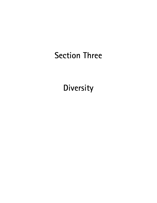# Section Three

**Diversity**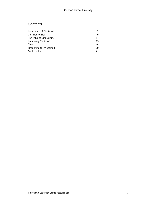# **Contents**

| Importance of Biodiversity | 3  |
|----------------------------|----|
| Soil Biodiversity          | 9  |
| The Value of Biodiversity  | 14 |
| Increasing Biodiversity    | 15 |
| Trees                      | 16 |
| Regulating the Woodland    | 20 |
| Shelterbelts               | 21 |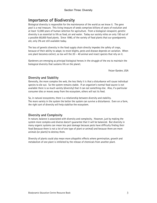# Importance of Biodiversity

Biological diversity is responsible for the maintenance of the world as we know it. The gene pool is a real treasure. This living treasure of seeds comprises billions of years of evolution and at least 12,000 years of human selection for agriculture. From a biological viewpoint, genetic diversity is as essential to life as food, air and water. Today our society relies on only 150 out of a possible 80,000 food plants. Since 1990, of the variety of food plants that our grandparents ate, only 3% are still available today.

The loss of genetic diversity in the food supply chain directly impedes the safety of crops, because of their ability to adapt, to resist blights, pests and disease depends on variation. When one plant becomes extinct, so too will the 20 – 40 animal and insect species that rely on it.

Gardeners are emerging as principal biological heroes in the struggle of the era to maintain the biological diversity that sustains life on the planet.

Fetzer Garden, USA

### Diversity and Stability

Generally, the more complex the web, the less likely it is that a disturbance will cause individual species to die out. So the system remains stable. If an organism's normal food source is not available there is so much variety (diversity) that it can eat something else. Also, if a particular consumer dies or moves away from the ecosystem, others will eat its feed.

So, in natural ecosystems, there is a relationship between diversity and stability. The more variety in the system the better the system can survive a disturbance. Even on a farm, the right sort of diversity will help stabilise the ecosystem.

### Diversity and Complexity

In nature, balance is associated with diversity and complexity. However, just by making the system more complex and diverse doesn't guarantee that it will be balanced. But diversity in many organic systems can mean less pest damage because pests have difficulty finding their food (because there is not a lot of one type of plant or animal) and because there are more animals (or plants) to destroy them.

Diversity of plants could also mean more allopathic effects where germination, growth and metabolism of one plant is inhibited by the release of chemicals from another plant.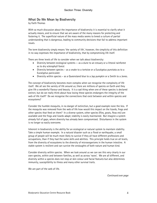### What Do We Mean by Biodiversity

by Faith Thomas

With so much discussion about the importance of biodiversity it is essential to clarify what it actually means, and to ensure that we are aware of the many reasons for protecting and fostering it. The superficial nature of the mass media seems to breed a culture of partial understanding that is dangerous, leading to community decisions that fail to address important issues.

The term biodiversity simply means 'the variety of life', however, the simplicity of this definition in no way expresses the importance of biodiversity, that by compromising life itself.

There are three levels of life to consider when we talk about biodiversity:

- Diversity between ecological systems as a dune to an estuary or a littoral rainforest as to dry sclerophyll forest
- Diversity between species as a snake to a tortoise or a Eucalyptus punctata as to a Eucalyptus paniculate
- Diversity within species as a Queensland blue to a Jap pumpkin or a Smith to a Jones.

The concept of biodiversity becomes more complex when we recognise the complexity of life itself. We all see the variety of life around us; there are millions of species on Earth and they give life a wonderful flavour and beauty. It is a sad thing when one of these species is declared extinct, but do we really think about how losing these species endangers the integrity of the web of life itself? Do we recognise the connections that exist between and within species and ecosystems?

Consider the humble mosquito, in no danger of extinction, but a good example none the less. If the mosquito was removed from the web of life how would this impact on the lizards, frogs and other species that feed on them? In a diverse system, other species (flies, gnats, fleas etc) are available and the frogs and lizards adapt; stability is easily maintained. But imagine a system already full of gaps, where diversity has already been compromised. Disturbance in the system is no longer so easily overcome.

Inherent in biodiversity is the ability for an ecological or natural system to maintain stability. Take a simple human example. In a natural disaster such as a flood or earthquake, a small group of people will be much more likely to survive if they all have different professions and occupations, than if they had the same skills and abilities. This principle holds true on all levels, from the diversity of ecosystems to the diversity of microorganisms in the human intestine. A stable system is resilient and can survive the onslaughts of both nature and human kind.

Consider diversity within species. When we look around us we can see this very clearly in our own species, within and between families, as well as across 'races'. We are all different, and diversity within a species does not stop at skin colour and facial features but also determines immunity, susceptibility to illness and many other survival traits.

We are part of the web of life.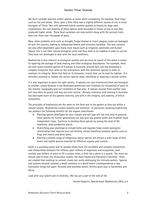We don't consider diversity within species as much when considering, for example, food crops such as rice and wheat. Once upon a time there was a slightly different variety of rice in every bioregion of China. But with patented hybrid varieties pushed so heavily by large seed corporations, the vast majority of these species were discarded in favour of one or two that produced higher yields. These local variations are now extinct along with the survival traits bred into them over thousands of years.

Now, when problems arise such as drought, fungal disease or insect plagues, crops are damaged all over the country, leading to widespread famine and economic hardship. The new varieties are also often dependent upon many more inputs such as irrigation, pesticides and human labour; this is not their natural biological niche and they need to be coddled in order to survive. They have not developed to deal with the local conditions.

Biodiversity is also inherent in ecological systems and we must be aware of this when it comes to repairing the damage of land clearing and other ecological disturbance. For example, there are over seven hundred species of Eucalypt in Australia; around each one has developed a complex ecosystem that relies on the interactions with this dominant species in order to maintain its integrity. Birds that feed on its blossoms, insects that use its bark for habitat. It is therefore essential to replant the correct species when rebuilding or repairing a natural system.

It is also important to plant the right variety. A species can vary enormously from one bioregion to another, simply because it has developed genetically over hundreds (or thousands) of years to the climate, topography and soil conditions of that area. A species sourced from another area will very likely do poorly and may not even survive. Already, extensive land clearing in Australia has destroyed much of this genetic diversity, and with it the integrity, and stability, of entire ecosystems.

The principles of biodiversity are the same on the farm and in the garden as they are within a natural system. Biodiversity creates stability and resilience. In particular, fostering biodiversity can produce the following benefits for the organic practitioner:

- Planting species developed for your climate and soil type will not only help to preserve these species for further generations but also give you greater yields and healthier more independent crops. Continue to develop these species by saving the seed of the healthiest, most productive plants.
- Diversifying your plantings to include herbs and legumes helps create synergistic relationships that improve your soil fertility, attract beneficial predator species such as frogs and insects and deter pests.
- Planting a diverse range of indigenous native species will attract a wide range of bird, insect and reptile species essential for effective organic pest control.

Earth is a wondrous place and its wonder stems from the incredible and complex interactions and relationships between the millions upon millions of organisms and ecosystems, each evolved over billions of years to fill a unique niche, a little like a piece in a puzzle. The more we disturb and ill-treat this miraculous system, the more frayed and fractured it becomes. Holes are created that continue to unravel, slowly but surely destroying the intricate patters. Species and systems become isolated, a death sentence in a world where interdependence is law. Eventually things fall apart: forested land becomes desert, fertility gives way to barrenness and decay.

Look after your planet and its diversity. We too are a part of the web of life.

Hunter Organics, Special Issue: Biodiversity, 2003, p.4.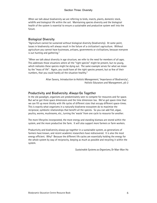When we talk about biodiversity we are referring to birds, insects, plants, domestic stock, wildlife and biological life within the soil. Maintaining species diversity and the biological health of the system is essential to ensure a sustainable and productive system well into the future.

### Biological Diversity

"Agriculture cannot be sustained without biological diversity (biodiversity). At some point, losses in biodiversity will always result in the failure of a civilization's agriculture. Without agriculture you cannot have businesses, artisans, governments or civilisations, because everyone is out hunting and gathering."

"When we talk about diversity in age structure, we refer to the need for members of all ages. This addresses those situations where all the "right species" might be present, but no young, which indicates these species might be dying out. The same example serves for what we mean by the "mass of life". Again, you could have all the right species present, but so few of their numbers, that you could hardly all the situation healthy."

> Allan Savory, Introduction to Holistic Management, 'Importance of Biodiversity', Holistic Educators and Management, p5-2

### Productivity and Biodiversity *Always* Go Together

In the old paradigm, organisms are predominately seen to compete for resources and for space. But we've got three space dimensions and the time dimension too. We've got space-time that we can fill up more thickly with life cycles of different sizes that occupy different space-times. This is exactly what organisms in a naturally biodiverse ecosystem do to maximise the reciprocal, symbiotic relationships that benefit all the species. So you can add fish, algae, poultry, worms, mushrooms, etc., turning the 'waste' from one cycle to resource for another.

The more lifecycles incorporated, the more energy and standing biomass are stored within the system, and the more productive the farm. It will also support more farmers or farm workers.

Productivity and biodiversity always go together in a sustainable system, as generations of farmers have known, and recent academic researchers have rediscovered. It is also the most energy efficient. Why? Because the different life cycles are essentially holding the energy for the whole system by way of reciprocity, keeping as much as possible and recycling it within the system.

Sustainable Systems as Organisms, Dr Mae-Wan Ho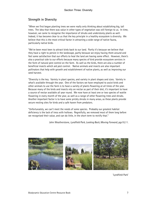### Strength in Diversity

"When we first began planting trees we were really only thinking about establishing big, tall trees. The idea that there was value in other types of vegetation was still foreign to us. In time, however, we came to recognise the importance of shrubs and understorey plants as well. Indeed, it has become clear to us that the key principle in a healthy ecosystem is diversity. We believe that this is the most critical factor in attracting a wide range of native fauna, particularly native birds.

"We've been most keen to attract birds back to our land. Partly it's because we believe that they have a right to persist in the landscape, partly because we enjoy having them around and feel some satisfaction that our efforts to heal the land are having some effect. However, there's also a practical side to our efforts because many species of bird provide ecosystem services in the form of natural pest control on the farm. As well as the birds, there are also a number of beneficial insects which aid pest control. Native animals and insects are also important pollinators that help with growth and establishment of native plants, as well as improving our seed harvest.

"Diversity is the key. Variety in plant species, and variety in plant shapes and sizes. Variety in what's available through the year. One of the factors we have employed to assist birds and other animals to use the farm is to have a variety of plants flowering at all times of the year. Because many of the birds and insects rely on nectar as part of their diet, it's important to have a source of nectar available all year round. We now have at least one or two species of wattle flowering in every month of the year, as well as a range of other flowering trees and shrubs. Another important factor is to have some prickly shrubs in many areas, as these plants provide secure nesting sites for birds and a safe haven from predators.

"Unfortunately, we can't meet the needs of some species. Probably our greatest habitat deficiency is the lack of tress with hollows. Regretfully, we removed most of them long before we recognised their value, and can do little, in the short term to rectify that."

John Weatherstone, Lyndfield Park, Looking Back, Moving Forward, pgs10,11.



'Lyndfield Park'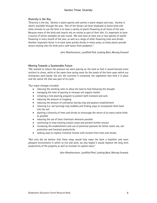### Section Three: Diversity

### Diversity is the Key

"Diversity is the key. Variety in plant species and variety in plant shapes and sizes. Variety in what's available through the year. One of the factors we have employed to assist birds and other animals to use the farm is to have a variety of plants flowering at all times of the year. Because many of the birds and insects rely on nectar as part of their diet, it's important to have a source of nectar available all year round. We now have at least one or two species of wattle flowering in every month of the year, as well as a range of other flowering trees and shrubs. Another important factor is to have some prickly shrubs in many areas, as these plants provide secure nesting sites for birds and a safe haven from predators."

John Weatherstone, Lyndfield Park, Looking Back, Moving Forward

#### Moving Towards a Sustainable Future

"We wanted to reduce the pressure we were placing on the land so that it would become more resilient to stress, while at the same time caring more for the assets of the farm upon which our enterprises were based: the soil, the nutrients it contained, the vegetation that held it in place and the native life that was part of its cycle.

"Our major changes included;

- reducing the stocking rates to allow the land to heal following the drought
- managing the level of grazing to increase soil organic matter
- initiating a tree planting program to protect both livestock and soils
- reducing the amount of cropping
- reducing the amount of cultivation during crop and pasture establishment
- retaining (i.e. not burning) crop stubbles and finding ways to incorporate them back into the soil
- planting a diversity of trees and shrubs to encourage the return of as many native birds as possible
- reducing the use of toxic chemicals wherever possible
- continuing to treat existing erosion areas and prevent further erosion
- increasing the establishment and use of perennial pastures for better water use, soil protection and livestock productivity
- seeking ways to replace livestock income with income from trees and shrubs.

"Not only did we believe that these steps would help make the farm a healthier and more pleasant environment in which to live and work, we also hoped it would improve the long term productivity of the property as well as increase its capital value."

John Weatherstone, Lyndfield Park, Looking Back, Moving Forward,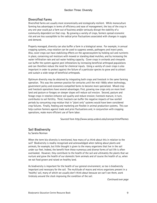### Section Three: Diversity

### Diversified Farms

Diversified farms are usually more economically and ecologically resilient. While monoculture farming has advantages in terms of efficiency and ease of management, the loss of the crop in any one year could put a farm out of business and/or seriously disrupt the stability of a community dependent on that crop. By growing a variety of crops, farmers spread economic risk and are less susceptible to the radical price fluctuations associated with changes in supply and demand.

Properly managed, diversity can also buffer a farm in a biological sense. For example, in annual cropping systems, crop rotation can be used to suppress weeds, pathogens and insect pests. Also, cover crops can have stabilizing effects on the agroecosystem by holding soil and nutrients in place, conserving soil moisture with mowed or standing dead mulches, and by increasing the water infiltration rate and soil water holding capacity. Cover crops in orchards and vineyards can buffer the system against pest infestations by increasing beneficial arthropod populations and can therefore reduce the need for chemical inputs. Using a variety of cover crops is also important in order to protect against the failure of a particular species to grow and to attract and sustain a wide range of beneficial arthropods.

Optimum diversity may be obtained by integrating both crops and livestock in the same farming operation. This was the common practice for centuries until the mid-1900s when technology, government policy and economics compelled farms to become more specialized. Mixed crop and livestock operations have several advantages. First, growing row crops only on more level land and pasture or forages on steeper slopes will reduce soil erosion. Second, pasture and forage crops in rotation enhance soil quality and reduce erosion; livestock manure, in turn, contributes to soil fertility. Third, livestock can buffer the negative impacts of low rainfall periods by consuming crop residue that in "plant only" systems would have been considered crop failures. Finally, feeding and marketing are flexible in animal production systems. This can help cushion farmers against trade and price fluctuations and, in conjunction with cropping operations, make more efficient use of farm labor.

Sourced from http://www.sarep.ucdavis.edu/concept.htm#Themes

### Soil Biodiversity

by Sandra Norman

When the term bio-diversity is mentioned, how many of us think about this in relation to the soil? Biodiversity is readily recognised and acknowledged when talking about plants and animals, for example, but little thought is given to the many organisms that live in the soil under our feet. Indeed, the benefit from these numerous and diverse forms of soil life is often overlooked. However, they contribute to the health of the soil and ultimately the plants that we nurture and grow the health of our domestic farm animals and of course the health of us, when we eat food grown and raised on healthy land.

As biodiversity is important for the health of our general environment, so too is biodiversity important and necessary for the soil. The multitude of macro and micro organisms present in a 'healthy' soil, many of which we usually don't think about because we can't see them, work tirelessly around the clock improving the condition of the soil.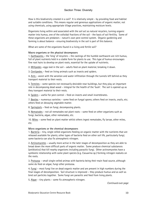How is this biodiversity created in a soil? It is relatively simple - by providing food and habitat and suitable conditions. This means regular and generous applications of organic matter, not using chemicals, using appropriate tillage practices, maintaining moisture levels.

Organisms living within and associated with the soil act as natural recyclers, turning organic matter into humus, one of the colloidal fractions of the soil - the basis of soil fertility. Some of these organisms are predators - nature's own pest control system. Organic gardening and farming is about balance - ensuring biodiversity in the soil is part of this balance.

What are some of the organisms found in a living and fertile soil?

#### Macro organisms or the physical decomposers

1. Earthworms – the 'king' of recyclers – the castings of the humble earthworm are rich humus, full of plant nutrients held in a stable form for plants to use. This type of humus encourages fine root hairs to develop on plant roots, essential for the uptake of nutrients.

2. Millipedes –eggs laid in the soil – adults feed on plant material, breaking it down.

3. Centipedes – feed on living animals such as insects and spiders.

4. Ants – assist with the aeration and water infiltration through the tunnels left behind as they transport material to their nests.

5. Termites – some species not necessarily desirable near buildings, but they play an important role in decomposing dead wood – integral for the health of the 'bush'. The soil is opened up as they transport material to their nests.

6. Spiders – useful for pest control – feed on insects and small invertebrates.

7. Beetles – numerous varieties – some feed on fungal spores; others feed on insects, snails, etc; others feed on decaying vegetable matter.

8. Springtails – feed on fungi, decomposing plants.

9. Nematodes – not all nematodes eat plant roots – some feed on other organisms such as fungi, bacteria, algae, other nematodes, etc.

10. Mites – some feed on plant matter whilst others ingest nematodes, fly larvae, other mites, etc.

#### Micro organisms or the chemical decomposers

1. Bacteria – tiny, single celled organisms feeding on organic matter with the nutrients that are released available for plants; other types of bacteria feed on other soil life, particularly fungi; some bacteria can also fix atmospheric nitrogen.

2. Actinomycetes – usually more active in the later stages of decomposition as they are able to bread down the more difficult parts of organic matter. Some produce chemical substances (antibiotics) that kill nearby organisms including parasitic fungi. Other actinomycetes have a symbiotic relationship with some plant species (e.g. Casuarina sp.) forming nitrogen nodules on the roots.

3. Protozoa – small single-celled animas with bacteria being their main food source, although some do feed on algae, fungi other protozoa.

4. Fungi – most fungi live on dead organic matter and are present in high numbers during the final stages of decomposition. Soil structure is improved – they produce humus and as well as bind soil particles together. Some fungi are parasitic and feed from living plants.

5. Algae – tiny plants – some fix atmospheric nitrogen.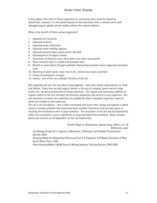It may appear that some of these organisms are consuming what could be viewed as 'beneficials', however it is the overall balance of the food chain that is relevant and a well managed organic garden should readily achieve this natural balance.

What is the benefit of these various organisms?

- 1. Improved soil structure
- 2. Improved aeration
- 3. Improved water infiltration
- 4. Improved water holding capacity
- 5. Improved porosity (pore spaces within the soil)
- 6. Decomposition of organic matter
- 7. Conversion of elements into a form able to be taken up by plants
- 8. Plant nutrients held in a stable and available form
- 9. Benefit to some plants through symbiotic relationships between micro-organisms and plant roots
- 10. Recycling of plant waste, dead insects etc., animal and insect excrement
- 11. Fixing of atmospheric nitrogen
- 12. Humus one of the two colloidal fractions of the soil

Soil organisms are just like any other living organism – they have similar requirements viz. food and habitat. Every time we add organic matter in the way of compost, green manure crops, mulch, etc., we are providing both of these essentials… The regular and continuous addition of organic matter to the soil increases the diversity, population and activity of soil organisms. Our aim should be to ensure the conditions are suitable for these invaluable organisms, many of which are invisible to the naked eye.

The soil is the foundation – this is often overlooked and much time, energy and expense is spent trying to remedy problems that could have been avoided if attention had just been given to ensuring the foundations were in good condition. The ecosystem of the soil and the biodiversity within this ecosystem is just as significant as ensuring biodiversity elsewhere. Birds, animals, plants and humans are all dependent on this soil biodiversity.

> Hunter Organics, Biodiversity: Special Issue, 2003 p. 27, 28 References used:

Soil Biology Primer, Dr. E Ingham, A Moldenke, C Edwards, Soil & Water Conservation Society, 2000

Growing Media for Ornamental Plants and Turf, K A Handreck, N D Black, University of New South Wales Press, 1994

Plant Growing Media 1593B, Rural & Mining Industry Training Division, TAFE NSW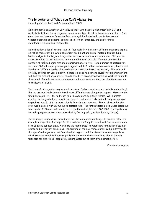### The Importance of What You Can't Always See

Elaine Ingham Soil Food Web Seminars (April 2002)

Elaine Ingham is an American University scientist who has set up laboratories in USA and Australia to test soil for soil organism numbers and types to sell soil organism inoculants. She gave three seminars, one for orchardists, on fungal dominated soil, one for farmers and vegetable growers on bacterial dominated soil which I attended, and one for input manufacturers on making compost tea.

Elaine has done a lot of research into soil food webs in which many different organisms depend on eating each other in a whole chain from dead plant and animal material through fungi, bacteria, algae to the larger soil organisms such as earthworms and nematodes. The process varies according to the season and at any time there can be a big difference between the numbers of total soil organisms and organisms that are active. Total numbers of bacteria can vary from 600 million per gram of good organic soil, to 1 million in a conventionally farmed soil. Numbers of different species of bacteria can be 25,000 and 5,000 respectively. Numbers and diversity of fungi can vary similarly. If there is a good number and diversity of organisms in the soil, half the amount of plant litter should have been decomposed within six weeks of falling to the ground. Bacteria are more numerous around plant roots and they also glue themselves on to the leaves of plants.

The types of soil organism vary as a soil develops. On bare rock there are bacteria and no fungi, then as the rock breaks down into soil, more different types of organism appear. Weeds are the first plant colonisers – the soil tends to lack oxygen and be high in nitrate. When grasses develop, the fungus to bacteria ratio increases to that which is also suitable for growing most vegetables. A ratio of 1.1 is more suitable for grain and row crops. Shrubs, vines and bushes grow well on a soil with 2:5 fungus to bacteria ratio. The fungus bacteria ratio under deciduous trees can be 5:100 and under coniferous trees, the end of the cycle, 100:1000. Grasslands may naturally progress to trees unless disturbed by fire or grazing, (or held back by climate).

The farming system and soil amendments will favour a particular fungus to bacteria ratio. For example adding a lot of nitrogen fertilizer reduces the fungi in the soil and favours weeds such as thistles and Johnson grass, which like the high nitrate. Phytophthora fungus also likes high nitrate and low oxygen conditions. The aeration of soil and compost makes a big difference to the type of soil organisms that flourish – low oxygen conditions favour anaerobic organisms, which secrete alcohol, hydrogen sulphide and ammonia which are toxic to plants. Soluble fertilizers can also kill soil organisms, sucking water out of them, by an osmotic effect.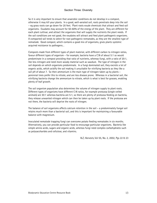So it is very important to ensure that anaerobic conditions do not develop in a compost, otherwise it may kill your plants. In a good, well-aerated soil, roots penetrate deep into the soil – eg grass roots can go down for 20 feet. Plant roots exude chemicals that attract and feed soil organisms. Exudates may account for 50-60% of the energy of the plant. They are different for each plant cultivar, and attract the organisms that will supply the nutrients the plant needs. If the soil conditions are not good, the exudates will attract and feed plant pathogenic organisms. A compacted soil tends to select for root pathogenic nematodes, as they are the smallest type of nematode. Good compost, which contains a good mix of organisms, gives plants systemic acquired resistance to pathogens…

Composts made from different types of plant material, with different carbon to nitrogen ratios, favour different types of organism – for example, bacteria have a C:N of about 5:1 so would predominate in a compost providing that ratio of nutrients, whereas fungi, with a ratio of 20:1, like less nitrogen and need more woody material such as sawdust. The type of nitrogen in the soil depends on which organisms predominate. In a fungi dominated soil, they excrete a lot of organic acids, which acidify the soil making it unsuitable for nitrifying bacteria as they like a soil pH of about 7. So then ammonium is the main type of nitrogen taken up by plants – perennial trees prefer this to nitrate, and are less disease prone. Whereas in a bacterial soil, the nitrifying bacteria change the ammonium to nitrate, which is what is best for grasses, enabling plenty of leaf growth.

The soil organism population also determines the volume of nitrogen supply to plant roots. Different types of organisms have different C:N ratios, for example protozoa (single-celled animals) are 30:1 whereas bacteria are 5:1, so there are plenty of protozoa feeding on bacteria, they release unwanted nitrogen which can then be taken up by plant roots. If the protozoa are not there, the bacteria will deprive the roots of nitrogen.

The balance of soil organisms affects calcium retention in the soil – a predominately fungal soil retains much more than a bacterial soil, and this is important for maintaining a favourable balance with magnesium.

Inoculated nematode trapping fungi can overcome potato feeding nematodes in six months. Alternatively, you can provide particular food to encourage particular organisms. Bacteria like simple amino acids, sugars and organic acids, whereas fungi need complex carbohydrates such as polysaccharides and cellulose, and vitamins.

N.Z, Harvests, Vol 55, No. 2, 2002, Pgs 22 & 23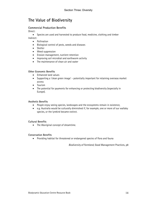# The Value of Biodiversity

### Commercial Production Benefits

Direct:

• Species are used and harvested to produce food, medicine, clothing and timber

Indirect:

- Pollination
- Biological control of pests, weeds and diseases
- Shelter
- Weed suppression
- Erosion management, nutrient retention
- Improving soil microbial and earthworm activity
- The maintenance of clean air and water

#### Other Economic Benefits

- Enhanced land values
- Supporting a 'clean green image' potentially important for retaining overseas market access
- Tourism
- The potential for payments for enhancing or protecting biodiversity (especially in Europe).

#### Aesthetic Benefits

- People enjoy seeing species, landscapes and the ecosystems remain in existence,
- e.g. Australia would be culturally diminished if, for example, one or more of our wallaby species, or the lyrebird became extinct.

#### Cultural Benefits

• The Aboriginal concept of dreamtime.

#### Conservation Benefits

• Providing habitat for threatened or endangered species of flora and fauna

Biodiversity of Farmland, Good Management Practices, p8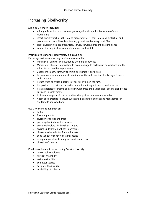# Increasing Biodiversity

### Species Diversity Includes:

- soil organisms; bacteria, micro-organisms, microflora, microfauna, mesofauna, macrofauna
- insect diversity includes the role of predator insects, bees, birds and butterflies and predators such as spiders, lady beetles, ground beetles, wasps and flies
- plant diversity includes crops, trees, shrubs, flowers, herbs and pasture plants
- animal diversity includes domestic animals and wildlife

### Practices to Enhance Biodiversity on Your Site

Encourage earthworms as they provide many benefits.

- Minimise or eliminate cultivation to avoid many benefits.
- Minimise or eliminate cultivation to avoid damage to earthworm populations and the soil's physical and biological status.
- Choose machinery carefully to minimise its impact on the soil.
- Retain crop residues and mulches to improve the soil's nutrient levels, organic matter and structure.
- Rotate crops to create a balance of species living on the farm.
- Use pasture to provide a restorative phase for soil organic matter and structure.
- Retain habitats for insects and spiders with grass and diverse plant species along fence lines and in shelterbelts.
- Include native plants in mixed shelterbelts, paddock corners and woodlots.
- Adopt good practice to ensure successful plant establishment and management in shelterbelts and woodlots.

#### Use Diverse Plantings Such as:

- herbs
- flowering plants
- diversity of shrubs and trees
- providing habitats for bird species
- providing habitats for beneficial insects
- diverse understory plantings in orchards
- diverse species selected for wind breaks
- good variety of suitable pasture species
- incorporation of medicinal plants and herbal leys
- diversity of animals

#### Conditions Required for Increasing Species Diversity

- correct soil conditions
- nutrient availability
- water availability
- pollinator species
- adequate food source
- availability of habitats.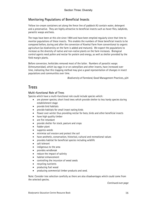### Monitoring Populations of Beneficial Insects

Yellow ice-cream containers set along the fence line of paddock A3 contain water, detergent and a preservative. They are highly attractive to beneficial insects such as hover flies, ladybirds, parasitic wasps and bees.

The traps have been at this site since 1994 and have been emptied regularly since that time to monitor populations of these insects. This enables the numbers of these beneficial insects to be compared before, during and after the conversion of Kowhai Farm from conventional to organic agriculture (as biodiversity on the farm is added and matures). We expect the populations to increase as the diversity of native and non-native plants on the farm increases. Biological control agents need pollen and nectar for protein and energy, as well as shelter provided by the field margin plants.

Before conversion, herbicides removed most of the latter. Numbers of parasitic wasps (Ichneumonidae), which lay eggs in or on caterpillars and other insects, have increased over time, indicating that this trapping method may give a good representation of changes in insect populations and communities over time.

Biodiversity of Farmland, Good Management Practices, p24

## Trees

### Multi-functional Role of Trees

Species which have a multi-functional role could include species which:

- are pioneer species; short lived trees which provide shelter to less hardy species during establishment stage
- provide bird habitats
- provide habitats for small insect eating birds
- flower over winter thus providing nectar for bees, birds and other beneficial insects
- have high quality timber
- are fire retardant
- provide shelter for stock, pasture and crops
- fodder plant
- suppress weeds
- minimise soil erosion and protect the soil
- have aesthetic, conservation, historical, cultural and recreational values
- provides habitat for beneficial species including wildlife
- salt tolerant
- indigenous to the area
- provides windbreak
- reduce the impact of salinity
- habitat enhancement
- controlling the incursion of weed seeds
- recycling nutrients
- producing fuel wood
- producing commercial timber products and seed.

Note: Consider tree selection carefully as there are also disadvantages which could come from the selected species.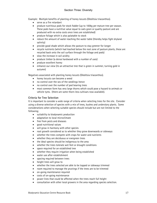Example: Multiple benefits of planting of honey locusts (Gleditsia triacanthos).

- serve as a fire retardant
- produce nutritious pods for stock fodder (up to 100kg per mature tree per season. These pods have a nutritive value equal to oats grain or quality pasture and are produced with no extra costs once trees are established)
- produce foliage which is also palatable to stock
- reduce the amount of water reaching the water table (thereby helps fight dryland salinity)
- provide good shade which allows the pasture to stay greener for longer
- recycle nutrients (which had leached below the root zone of pasture plants, these are recycled back onto the soil surface through the foliage and pods)
- slow the increase in soil acidity
- produce timber (a dense hardwood with a number of uses)
- produce excellent honey
- enhance our view (its an attractive tree that is green in summer, turning gold in autumn)

Negatives associated with planting honey locusts (Gleditsia triacanthos).

- honey locusts can become a weed
- no control over the sex of the seedlings hence
- no control over the number of pod bearing trees
- most common form has very large thorns which could pose a hazard to animals or vehicle tyres. (there are some thorn-less cultivars now available).

### Criteria for Tree Selection

It is important to consider a wide range of criteria when selecting trees for the site. Consider using a diverse selection of species with a mix of trees, bushes and understory plants. Some considerations when selecting suitable species should include but are not limited to the following;

- suitability to biodynamic production
- adaptation to local microclimate
- free from pests and diseases
- good nutritional values
- will grow in harmony with other species
- root growth considered as to whether they grow downwards or sideways
- whether the trees compete with crops for water and nutrients
- whether they are deciduous or evergreen trees
- the ideal species should be indigenous to the area
- whether the trees tolerate wet feet or drought conditions
- space required for an established tree
- whether they require irrigation when being established
- water use after establishment
- spacing required between trees
- height trees will grow to
- whether the trees selected are able to be topped or sideways trimmed
- room required to manage the prunings if the trees are to be trimmed
- on-going maintenance required
- costs of on-going maintenance
- power lines that could be affected when the trees reach full height
- consultation with other local growers in the area regarding species selection.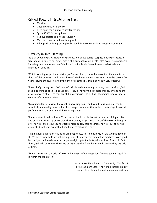### Critical Factors in Establishing Trees

- Moisture
- Good preparation is the key
- Deep rip in the summer to shatter the soil
- Spray BD500 in the rip lines
- Remove grasses and weeds regularly
- Must have a good soil moisture profile
- Hilling soil to form planting banks; good for weed control and water management.

### Diversity in Tree Planting

"It is all about diversity. Nature never plants in monocultures; I suspect that every species of tree, and even variety, has subtly different nutritional requirements. Also every living organism, including trees, 'consumes' and 'eliminates'. What is eliminated by one species/variety is nutrient for another.

"Within any single-species plantation, or 'monoculture', one will observe that there are trees that are 'high achievers' and 'low-achievers', the latter, up to 80 per cent, are culled after a few years, leaving the few trees to attain their full potential. This is obviously, very wasteful.

"Instead of planting say, 1,000 trees of a single variety over a given area, I am planting 1,000 seedlings of mixed species and varieties. They all have symbiotic relationships, enhancing the growth of each other – so they are all high achievers – as well as encouraging biodiversity to combat infestations etcetera.

"Most importantly, most of the varieties have crop value, and by judicious planning, can be selectively and readily harvested at their perspective maturities, without destroying the overall performance of the belts in which they are planted.

"I am convinced that well over 80 per cent of the trees planted will attain their full potential, and be harvested, vastly better than the customary 20 per cent. Most of the trees will coppice after harvest, and produce further crops, more quickly than the initial harvest, due to having established root systems, without additional establishment costs.

"The methods offer numerous other benefits; planted in straight rows, on the average contour, the 20 meter wide belts are not am impediment to other crop production practices. With good belt design, traditional crops can be grown right up to the belts, without loss of yield. In fact their yields will be enhanced, thanks to the protection from drying winds, provided by the belt of trees.

"During heavy rain, the belts of trees will harvest surface water flow from up contour, retaining it within the soil profile."

> Acres Australia, Volume 12, Number 3, 2004, Pg 25. To find out more about 'The Auria Research Project', contact David Kennett, email auria@bigpond.com.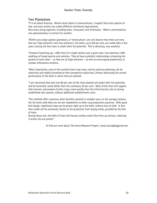### Section Three: Diversity

### Tree Plantations

"It is all about diversity. Nature never plants in monocultures; I suspect that every species of tree, and even variety, has subtly different nutritional requirements. Also every living organism, including trees, 'consumes' and 'eliminates'. What is eliminated by one species/variety is nutrient for another.

"Within any single-species plantation, or 'monoculture', one will observe that there are trees that are 'high achievers' and 'low-achievers', the latter, up to 80 per cent, are culled after a few years, leaving the few trees to attain their full potential. This is obviously, very wasteful.

"Instead of planting say, 1,000 trees of a single variety over a given area, I am planting 1,000 seedlings of mixed species and varieties. They all have symbiotic relationships, enhancing the growth of each other – so they are all high achievers – as well as encouraging biodiversity to combat infestations etcetera.

"Most importantly, most of the varieties have crop value, and by judicious planning, can be selectively and readily harvested at their perspective maturities, without destroying the overall performance of the belts in which they are planted.

"I am convinced that well over 80 per cent of the trees planted will attain their full potential, and be harvested, vastly better than the customary 20 per cent. Most of the trees will coppice after harvest, and produce further crops, more quickly than the initial harvest, due to having established root systems, without additional establishment costs.

"The methods offer numerous other benefits; planted in straight rows, on the average contour, the 20 metre wide belts are not am impediment to other crop production practices. With good belt design, traditional crops can be grown right up to the belts, without loss of yield. In fact their yields will be enhanced, thanks to the protection from drying winds, provided by the belt of trees.

During heavy rain, the belts of trees will harvest surface water flow from up contour, retaining it within the soil profile."

To find out more about 'The Auria Research Project', email auria@bigpond.com.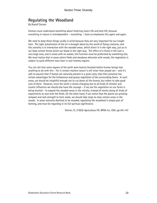# Regulating the Woodland

By Rudolf Steiner

Farmers must understand something about fostering insect-life and bird-life, because everything in nature is interdependent – everything. I have to emphasize this again and again.

We need to keep these things vividly in mind because they are very important for our insight here. The right astralization of the air is brought about by the world of flying creatures, and this astrality is in interaction with the wooded areas, which direct it in the right way, just as in our body certain forces direct our blood in the right way. The effect of a forest is felt over a very large area, and in areas with no woods, this function must be preformed by something else, We must realize that in areas where fields and meadows alternate with woods, the vegetation is subject to quite different laws than in vast treeless regions.

You can tell that some regions of the earth were heavily forested before human beings had anything to do with this – for in certain matters nature is still wiser than people are – and it's safe to assume that if forests are naturally present in a given area, that their presence has certain advantages for the herbaceous and grassy vegetation of the surrounding farms. In such areas, we should be insightful enough not to cut down all the forests, but rather to take good care of them. However, since the earth is slowly changing due to all kinds of climatic and cosmic influences we should also have the courage – if we see the vegetation on our farms is being stunted – to expand the wooded areas in the vicinity, instead of merely doing all kinds of experiments on and with the fields. On the other hand, if we notice that the plants are growing rampant and lack strength to form seeds, we should take steps to clear certain areas in the woods. In areas naturally destined to be wooded, regulating the woodland is simply part of farming, and must be regarding in its full spiritual significance.

Steiner, R., (1993) Agriculture, PA. BFGA inc. USA. pp145-147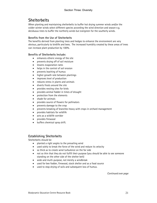# **Shelterbelts**

When planting and maintaining shelterbelts to buffer hot drying summer winds and/or the colder winter winds select different species according the wind direction and season e.g. deciduous trees to buffer the northerly winds but evergreen for the southerly winds.

### Benefits from the Use of Shelterbelts

The benefits derived from planting trees and hedges to enhance the environment are very obvious, particularly to birdlife and bees. The increased humidity created by these areas of trees can increase plant production by 100%.

### Benefits of Shelterbelts Include:

- enhances etheric energy of the site
- prevents drying off of soil moisture
- lessens evaporation rates
- helps in the control of soil erosion
- prevents leaching of humus
- higher growth rate between plantings
- improves level of production
- reduces stress in plants and animals
- diverts frosts around the site
- provides nesting sites for birds
- provides animal fodder in times of drought
- protection from the elements
- shade for animals
- provides source of flowers for pollinators
- prevents damage to the crop
- prevents breaking of branches heavy with crops in orchard management
- provides habitats for wildlife
- acts as a wildlife corridor
- provides firewood
- buffers chemical spray drift.

### Establishing Shelterbelts

Shelterbelts should be:

- planted a right angles to the prevailing wind
- used solely to break the force of the wind and reduce its velocity
- so thick as to create wind turbulence on the far side
- not so thin that they do not fulfill their purpose (you should be able to see someone standing on the other side of the shelter belt)
- wide and multi-purpose, not merely a windbreak
- used for bee fodder, firewood, stock shelter and as a food source
- used to stop drying of soils and subsequent loss of humus.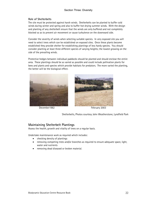### Section Three: Diversity

#### Role of Shelterbelts

The site must be protected against harsh winds. Shelterbelts can be planted to buffer cold winds during winter and spring and also to buffer hot drying summer winds. With the design and planting of any shelterbelt ensure that the winds are only buffered and not completely blocked so as to prevent air movement or cause turbulence on the downward side.

Consider the severity of winds when selecting suitable species. In very exposed site you will need to select trees which can be established on exposed sites. Once these plants become established they provide shelter for establishing plantings of less hardy species. You should consider planting at least three different species of varying heights; the lowest growing on the side of the prevailing winds.

Protective hedges between individual paddocks should be planted and should enclose the entire area. These plantings should be as varied as possible and could include pollination plants for bees and plants and species which provide habitats for predators. The more varied the planting, the better will be the biological effect.



December 1982 **February 2003** 



Shelterbelts, Photos courtesy John Weatherstone, Lyndfield Park

### Maintaining Shelterbelt Plantings

Assess the health, growth and vitality of trees on a regular basis.

Undertake maintenance work as required which includes:

- checking density of plantings
- removing competing trees and/or branches as required to ensure adequate space, light, water and nutrients
- removing dead diseased or broken material.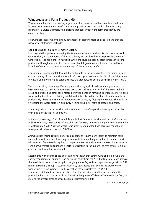### Windbreaks and Farm Productivity

Why should a farmer fence existing vegetation, plant corridors and blocks of trees and shrubs – is there really an economic benefit in allocating land to trees and shrubs? There certainly is, reports BFA's Louise Skidmore, who explains that conservation and farm productivity are complementary.

Following are just some of the many advantages of planting trees and shelter belts that are relevant for all farming methods:

#### Look at Erosion, Salinity & Water Quality

Land degradation problems requiring the treatment of whole catchments (such as sheet and gully erosion), and some forms of dryland salinity, can be aided by strategic establishment of windbreaks. It is ironic that in Australia, where moisture availability often limits agricultural production through much of the year, so many land degradation problems are caused by an inability of crops and pastures to use enough of the incoming rainfall.

Infiltration of unused rainfall through the soil profile to the groundwater is the major cause of dryland salinity. Excess runoff erodes soil. On average an estimated 5-10% of rainfall is unused in Australian agriculture and percolates into the groundwater or runs off (Peck & Hurle 1973).

The water used by trees is significantly greater than by agricultural crops and pastures. It has been estimated that 30-40 mature trees per ha are sufficient to use all of this excess rainfall. Establishing trees and other deep-rooted perennial plants on farms helps produce a more closed water and nutrient cycle, retaining rainfall and nutrients that are at that site and using them productively. Trees reduce erosion, improve water quality by filtering and reduce rising salinity by keeping the water table low and away from the shallower roots of pasture and crops.

farms may help to control erosion and nutrient loss, lack of vegetation interrupts the nutrient cycle and exposes the soil to erosion.

In the mulga country, 10cm of topsoil is readily lost from wind erosion and runoff after storms. In SE Queensland, seven tonnes of topsoil is lost for every tonne of grain produced. Incidentally, in Victoria and South Australia where large scale clearing of land has occurred, the value of treed properties has increased by 20-30%.

Animals experiencing extreme hot or cold conditions require more energy to maintain basic metabolism and thus have less energy available to increase body weight, or to produce meat, milk or wool. More feed is required to simply counter the environmental stress. Under adverse conditions, livestock performance is inefficient relative to the quantity of feed eaten – animals graze less and sometimes not at all.

Experiments with penned sheep and cattle have shown that strong wind and rain double the energy requirement of animals. One Australian study from the New England Tablelands showed that cold stress can depress sheep live weight gain by 6kg and can depress wool growth by 25% (Lynch & Donnelly 1980). A study in Montana, USA showed that beef cattle protected by windbreaks were on average 16kg heavier than those unsheltered (USDA 1994). In southern Victoria it has been calculated that the provision of shelter can increase milk production by 30%. 10% of this is attributed to the greater efficiency of conversion of feed, and 20% to the greater amount of feed available (Fitzpatrick 1994).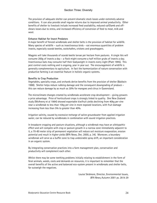The provision of adequate shelter can prevent dramatic stock losses under extremely adverse conditions. It can also provide small regular returns due to improved animal productivity. Other benefits of shelter to livestock include increased feed availability, reduced calf/lamb and offshears losses due to stress, and increased efficiency of conversion of feed to meat, milk and wool.

#### Enhance Habitat for Insect Predators

A major benefit of fenced windbreaks and shelter belts is the provision of habitat for wildlife. Many species of wildlife – such as insectivorous birds – eat enormous quantities of problem insects, especially scarab beetles, cockchafers, crickets and grasshoppers.

Magpies will take thousands of scarab beetle larvae per hectare from pastures. A single ibis will consume 200g of insects a day – a flock might consume a half million grubs of insects a day. Insectivorous bats may consume half their bodyweight in insects every night (Platt 1995). This pest control costs nothing and is ongoing, year in year out. The encouragement of wildlife is generally complementary to agriculture. In fact the harmonization of nature conservation with productive farming is an essential feature in holistic organic systems.

#### Benefits to Crop Production

Vegetables, specialty crops, and orchards derive benefits from the provision of shelter (Baldwin 1988). Shelter helps reduce rubbing damage and the consequent downgrading of produce – this can reduce damage by as much as 30% for mangoes and citrus in Queensland.

The microclimate changes created by windbreaks accelerate crop development – giving growers a price advantage. Price of horticultural crops is strongly linked to quality. One New Zealand study (McAneny et al 1984) showed exportable kiwifruit yields declining from 40kg per vine near a windbreak to less than 10kg per vine in more exposed locations, with fruit damage increasing from less than 5% to greater than 40%.

Irrigation salinity, caused by excessive recharge of saline groundwater from applied irrigation water, can be reduced by windbreaks in combination with sound irrigation practices.

In broadacre cropping and pasture situations, although a windbreak may have an allelopathic effect and will compete with crop or pasture growth in a narrow zone immediately adjacent to it, a 70-80 meter strip of permanent vegetation will reduce soil moisture evaporation, erosion potential and result in higher yields (BFA News, Dec. 2000, p. 34). Moreover, a boundary windbreak will serve as a buffer zone to trap undesirable spray drift, an important consideration in an organic system.

By integrating conservation practices into a farm management plan, conservation and productivity will complement each other.

Whilst there may be some teething problems initially relating to establishment in the form of feral animals, weeds, costs and demands on resources, it is important to remember that the overall benefits of the active and balanced eco-system present in windbreaks and shelter belts, far outweigh the negatives.

> Louise Skidmore, Director, Environmental Issues, BFA News, Autumn 2001 ps. 28 & 29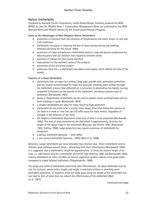### Native shelterbelts

Compiled by Rachelle Carritt, Illustrations: Judith Denby Design, Formerly produced by NSW NPWS, as Land for Wildlife Note 7, Conservation Management Notes are published by the NSW National Parks and Wildlife Service for the Conservation Partners Program.

### Some of the Advantages of Well Designed Native Shelterbelts

- protection of livestock from the extremes of temperatures and harsh winds—in wet and cold conditions
- shelterbelts can assist in reducing the loss of stock during calving and lambing offshears (Farming for the Future 1999)
- protection of crops and pastures—shelterbelts assist in crop and pasture production by reducing plant and soil moisture loss caused by extreme winds
- provision of habitat for local fauna and flora
- improvement to the aesthetic value of the property
- prevention of soil and wind erosion
- protection from fire— a shelterbelt can reduce wind speed, which affects the rate of fire spread.

#### Features of a Good Shelterbelt;

- shelterbelts that are open but without large gaps provide semi-permeable protection and are usually recommended for crops and pastures. Allowing some airflow through the shelterbelt ensures that deflected air is not prone to descending too rapidly causing unwanted turbulence on the leeside of the shelterbelt, providing a greater area of protection (Breckwoldt 1983)
- dense or impermeable shelterbelts can be used to protect small, confined areas such as farm buildings or yards (Breckwoldt 1983)
- L-shaped shelterbelts are ideal for areas requiring high protection
- shelterbelts do not need to be a strictly linear shape. Ones that follow the contour of the land or a creek or river line can still offer areas for stock shelter, regardless of changes in the direction of the wind
- the height of shelterbelts determines what area of land is to be protected (Breckwoldt 1983). The area of land protected by the shelterbelt is approximately 20 times the height of the tallest trees in the shelterbelt (Brouwer and Dutton 1992; Breckwoldt 1983; Stelling 1998). Large properties may require numerous of shelterbelts for protection
- a porous shelterbelt (porosity  $-50\% 60\%$ )
- a non-porous shelterbelt (porosity —20%) (Abel et al. 1998).

Generally, longer shelterbelts are more desirable than shorter ones. Short shelterbelts tend to channel wind sideways around them — detracting from their effectiveness (Breckwoldt 1983). It is suggested that a shelterbelt's length be approximately 12 times the mature height of its trees, i.e. 240 metres long for a shelterbelt 20 metres high (Stelling 1998 and Breckwoldt 1983). Linking shelterbelts to other corridors of natural vegetation greatly reduces wind speed when compared to single isolated shelterbelts (Simpfendorfer 1989).

The shape and width of shelterbelts determine their effectiveness. An ideal shelterbelt may be one, for instance, whose entire length and height is relatively uniform in providing semipermeable protection. If, however, there are large gaps along the length of the shelterbelt this can lead to 'jets' of wind that can reduce the effectiveness of the shelterbelt (Abel et. al. 1997).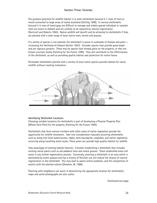The greatest potential for wildlife habitat is in wide shelterbelts (around 5-7 rows of trees or more) connected to large areas of native bushland (Stelling 1998). In narrow shelterbelts (around 2-3 rows of trees) gaps are difficult to manage and widely spaced individual or isolated trees are prone to dieback and are unlikely to be replaced by natural regeneration (Dorricott and Roberts 1993). Native wildlife will benefit and be attracted to shelterbelts if they are planted with a wide range of local native trees, shrubs and grasses.

If a variety of species is not planted, the shelterbelt is prone to outbreaks of disease and pests increasing the likelihood of dieback (Archer 1997). Consider species that provide good shade and are vigorous growers. These may be species that already grow on the property, or that are known survivors locally (Farming for the Future 1995). They will contribute to the effectiveness of the shelterbelt, as well as providing quality habitat and protection for native fauna

Permeable shelterbelts planted with a variety of local native species provide habitat for native wildlife without creating turbulence.



#### Identifying Shelterbelt Locations

Choosing suitable locations for shelterbelts is part of developing a Physical Property Plan (Whole Farm Plan) for the property, (Farming for the Future 1995).

Shelterbelts that form natural corridors with other areas of native vegetation provide the opportunity for wildlife movement. Take into consideration naturally occurring shelterbelts such as along tree lined watercourses, ridges, farm boundaries, roadsides, and native vegetation occurring along travelling stock routes. These areas can provide high quality habitat for wildlife.

Take advantage of existing habitat features. Consider establishing a shelterbelt that includes existing native plants such as old paddock trees and native grasses. These established areas will assist in any further regeneration process. Conversely, planting a shelterbelt in an area which is dominated by exotic grasses and has a history of fertiliser use will reduce the chance of natural regeneration in the shelterbelt. This may lead to weed control problems, and the competition of exotics with the planted natives (Sheahan, M. 1998).

Planning with neighbours can assist in determining the appropriate location for shelterbelts; maps and aerial photographs are also useful.